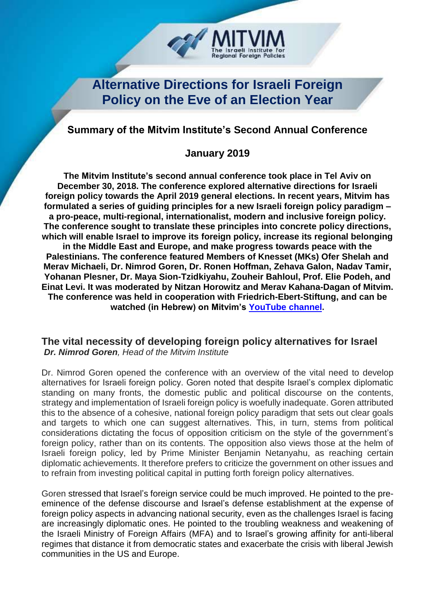

# **Alternative Directions for Israeli Foreign Policy on the Eve of an Election Year**

# **Summary of the Mitvim Institute's Second Annual Conference**

## **January 2019**

**The Mitvim Institute's second annual conference took place in Tel Aviv on December 30, 2018. The conference explored alternative directions for Israeli foreign policy towards the April 2019 general elections. In recent years, Mitvim has formulated a series of guiding principles for a new Israeli foreign policy paradigm – a pro-peace, multi-regional, internationalist, modern and inclusive foreign policy. The conference sought to translate these principles into concrete policy directions, which will enable Israel to improve its foreign policy, increase its regional belonging in the Middle East and Europe, and make progress towards peace with the Palestinians. The conference featured Members of Knesset (MKs) Ofer Shelah and Merav Michaeli, Dr. Nimrod Goren, Dr. Ronen Hoffman, Zehava Galon, Nadav Tamir, Yohanan Plesner, Dr. Maya Sion-Tzidkiyahu, Zouheir Bahloul, Prof. Elie Podeh, and Einat Levi. It was moderated by Nitzan Horowitz and Merav Kahana-Dagan of Mitvim. The conference was held in cooperation with Friedrich-Ebert-Stiftung, and can be watched (in Hebrew) on Mitvim's [YouTube channel.](https://www.youtube.com/watch?v=vBDQiE0MjG0&list=PLch1sxvghX5awyp0C4M-2jpydJtQEIvNa)**

## **The vital necessity of developing foreign policy alternatives for Israel** *Dr. Nimrod Goren, Head of the Mitvim Institute*

Dr. Nimrod Goren opened the conference with an overview of the vital need to develop alternatives for Israeli foreign policy. Goren noted that despite Israel's complex diplomatic standing on many fronts, the domestic public and political discourse on the contents, strategy and implementation of Israeli foreign policy is woefully inadequate. Goren attributed this to the absence of a cohesive, national foreign policy paradigm that sets out clear goals and targets to which one can suggest alternatives. This, in turn, stems from political considerations dictating the focus of opposition criticism on the style of the government's foreign policy, rather than on its contents. The opposition also views those at the helm of Israeli foreign policy, led by Prime Minister Benjamin Netanyahu, as reaching certain diplomatic achievements. It therefore prefers to criticize the government on other issues and to refrain from investing political capital in putting forth foreign policy alternatives.

Goren stressed that Israel's foreign service could be much improved. He pointed to the preeminence of the defense discourse and Israel's defense establishment at the expense of foreign policy aspects in advancing national security, even as the challenges Israel is facing are increasingly diplomatic ones. He pointed to the troubling weakness and weakening of the Israeli Ministry of Foreign Affairs (MFA) and to Israel's growing affinity for anti-liberal regimes that distance it from democratic states and exacerbate the crisis with liberal Jewish communities in the US and Europe.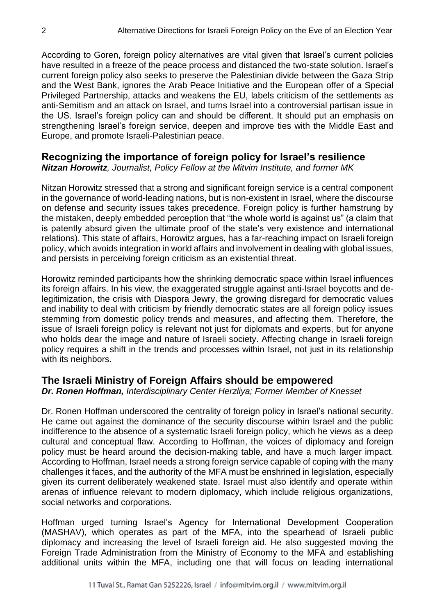According to Goren, foreign policy alternatives are vital given that Israel's current policies have resulted in a freeze of the peace process and distanced the two-state solution. Israel's current foreign policy also seeks to preserve the Palestinian divide between the Gaza Strip and the West Bank, ignores the Arab Peace Initiative and the European offer of a Special Privileged Partnership, attacks and weakens the EU, labels criticism of the settlements as anti-Semitism and an attack on Israel, and turns Israel into a controversial partisan issue in the US. Israel's foreign policy can and should be different. It should put an emphasis on strengthening Israel's foreign service, deepen and improve ties with the Middle East and Europe, and promote Israeli-Palestinian peace.

## **Recognizing the importance of foreign policy for Israel's resilience**

*Nitzan Horowitz, Journalist, Policy Fellow at the Mitvim Institute, and former MK*

Nitzan Horowitz stressed that a strong and significant foreign service is a central component in the governance of world-leading nations, but is non-existent in Israel, where the discourse on defense and security issues takes precedence. Foreign policy is further hamstrung by the mistaken, deeply embedded perception that "the whole world is against us" (a claim that is patently absurd given the ultimate proof of the state's very existence and international relations). This state of affairs, Horowitz argues, has a far-reaching impact on Israeli foreign policy, which avoids integration in world affairs and involvement in dealing with global issues, and persists in perceiving foreign criticism as an existential threat.

Horowitz reminded participants how the shrinking democratic space within Israel influences its foreign affairs. In his view, the exaggerated struggle against anti-Israel boycotts and delegitimization, the crisis with Diaspora Jewry, the growing disregard for democratic values and inability to deal with criticism by friendly democratic states are all foreign policy issues stemming from domestic policy trends and measures, and affecting them. Therefore, the issue of Israeli foreign policy is relevant not just for diplomats and experts, but for anyone who holds dear the image and nature of Israeli society. Affecting change in Israeli foreign policy requires a shift in the trends and processes within Israel, not just in its relationship with its neighbors.

# **The Israeli Ministry of Foreign Affairs should be empowered**

*Dr. Ronen Hoffman, Interdisciplinary Center Herzliya; Former Member of Knesset* 

Dr. Ronen Hoffman underscored the centrality of foreign policy in Israel's national security. He came out against the dominance of the security discourse within Israel and the public indifference to the absence of a systematic Israeli foreign policy, which he views as a deep cultural and conceptual flaw. According to Hoffman, the voices of diplomacy and foreign policy must be heard around the decision-making table, and have a much larger impact. According to Hoffman, Israel needs a strong foreign service capable of coping with the many challenges it faces, and the authority of the MFA must be enshrined in legislation, especially given its current deliberately weakened state. Israel must also identify and operate within arenas of influence relevant to modern diplomacy, which include religious organizations, social networks and corporations.

Hoffman urged turning Israel's Agency for International Development Cooperation (MASHAV), which operates as part of the MFA, into the spearhead of Israeli public diplomacy and increasing the level of Israeli foreign aid. He also suggested moving the Foreign Trade Administration from the Ministry of Economy to the MFA and establishing additional units within the MFA, including one that will focus on leading international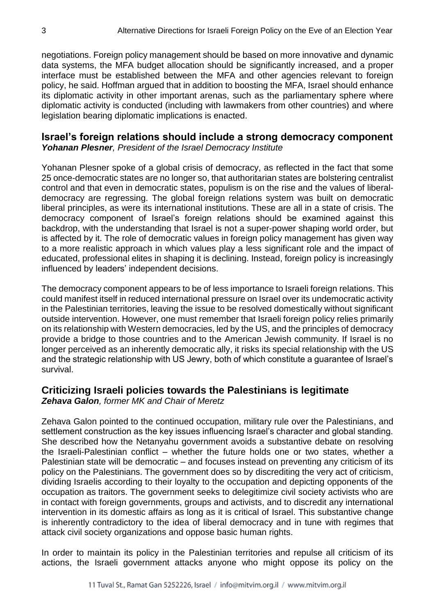negotiations. Foreign policy management should be based on more innovative and dynamic data systems, the MFA budget allocation should be significantly increased, and a proper interface must be established between the MFA and other agencies relevant to foreign policy, he said. Hoffman argued that in addition to boosting the MFA, Israel should enhance its diplomatic activity in other important arenas, such as the parliamentary sphere where diplomatic activity is conducted (including with lawmakers from other countries) and where legislation bearing diplomatic implications is enacted.

#### **Israel's foreign relations should include a strong democracy component**  *Yohanan Plesner, President of the Israel Democracy Institute*

Yohanan Plesner spoke of a global crisis of democracy, as reflected in the fact that some 25 once-democratic states are no longer so, that authoritarian states are bolstering centralist control and that even in democratic states, populism is on the rise and the values of liberaldemocracy are regressing. The global foreign relations system was built on democratic liberal principles, as were its international institutions. These are all in a state of crisis. The democracy component of Israel's foreign relations should be examined against this backdrop, with the understanding that Israel is not a super-power shaping world order, but is affected by it. The role of democratic values in foreign policy management has given way to a more realistic approach in which values play a less significant role and the impact of educated, professional elites in shaping it is declining. Instead, foreign policy is increasingly influenced by leaders' independent decisions.

The democracy component appears to be of less importance to Israeli foreign relations. This could manifest itself in reduced international pressure on Israel over its undemocratic activity in the Palestinian territories, leaving the issue to be resolved domestically without significant outside intervention. However, one must remember that Israeli foreign policy relies primarily on its relationship with Western democracies, led by the US, and the principles of democracy provide a bridge to those countries and to the American Jewish community. If Israel is no longer perceived as an inherently democratic ally, it risks its special relationship with the US and the strategic relationship with US Jewry, both of which constitute a guarantee of Israel's survival.

## **Criticizing Israeli policies towards the Palestinians is legitimate**

*Zehava Galon, former MK and Chair of Meretz*

Zehava Galon pointed to the continued occupation, military rule over the Palestinians, and settlement construction as the key issues influencing Israel's character and global standing. She described how the Netanyahu government avoids a substantive debate on resolving the Israeli-Palestinian conflict – whether the future holds one or two states, whether a Palestinian state will be democratic – and focuses instead on preventing any criticism of its policy on the Palestinians. The government does so by discrediting the very act of criticism, dividing Israelis according to their loyalty to the occupation and depicting opponents of the occupation as traitors. The government seeks to delegitimize civil society activists who are in contact with foreign governments, groups and activists, and to discredit any international intervention in its domestic affairs as long as it is critical of Israel. This substantive change is inherently contradictory to the idea of liberal democracy and in tune with regimes that attack civil society organizations and oppose basic human rights.

In order to maintain its policy in the Palestinian territories and repulse all criticism of its actions, the Israeli government attacks anyone who might oppose its policy on the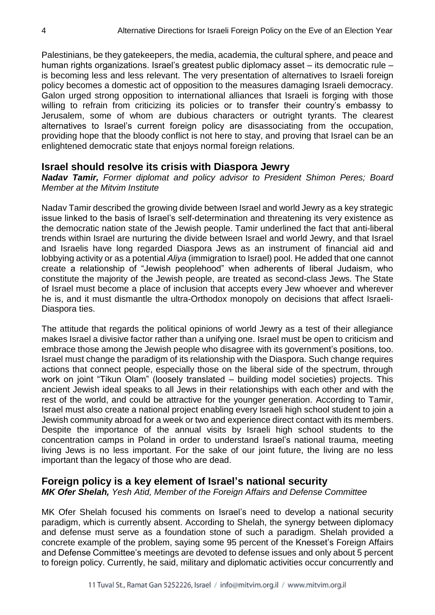Palestinians, be they gatekeepers, the media, academia, the cultural sphere, and peace and human rights organizations. Israel's greatest public diplomacy asset – its democratic rule – is becoming less and less relevant. The very presentation of alternatives to Israeli foreign policy becomes a domestic act of opposition to the measures damaging Israeli democracy. Galon urged strong opposition to international alliances that Israeli is forging with those willing to refrain from criticizing its policies or to transfer their country's embassy to Jerusalem, some of whom are dubious characters or outright tyrants. The clearest alternatives to Israel's current foreign policy are disassociating from the occupation, providing hope that the bloody conflict is not here to stay, and proving that Israel can be an enlightened democratic state that enjoys normal foreign relations.

#### **Israel should resolve its crisis with Diaspora Jewry**

*Nadav Tamir, Former diplomat and policy advisor to President Shimon Peres; Board Member at the Mitvim Institute*

Nadav Tamir described the growing divide between Israel and world Jewry as a key strategic issue linked to the basis of Israel's self-determination and threatening its very existence as the democratic nation state of the Jewish people. Tamir underlined the fact that anti-liberal trends within Israel are nurturing the divide between Israel and world Jewry, and that Israel and Israelis have long regarded Diaspora Jews as an instrument of financial aid and lobbying activity or as a potential *Aliya* (immigration to Israel) pool. He added that one cannot create a relationship of "Jewish peoplehood" when adherents of liberal Judaism, who constitute the majority of the Jewish people, are treated as second-class Jews. The State of Israel must become a place of inclusion that accepts every Jew whoever and wherever he is, and it must dismantle the ultra-Orthodox monopoly on decisions that affect Israeli-Diaspora ties.

The attitude that regards the political opinions of world Jewry as a test of their allegiance makes Israel a divisive factor rather than a unifying one. Israel must be open to criticism and embrace those among the Jewish people who disagree with its government's positions, too. Israel must change the paradigm of its relationship with the Diaspora. Such change requires actions that connect people, especially those on the liberal side of the spectrum, through work on joint "Tikun Olam" (loosely translated – building model societies) projects. This ancient Jewish ideal speaks to all Jews in their relationships with each other and with the rest of the world, and could be attractive for the younger generation. According to Tamir, Israel must also create a national project enabling every Israeli high school student to join a Jewish community abroad for a week or two and experience direct contact with its members. Despite the importance of the annual visits by Israeli high school students to the concentration camps in Poland in order to understand Israel's national trauma, meeting living Jews is no less important. For the sake of our joint future, the living are no less important than the legacy of those who are dead.

## **Foreign policy is a key element of Israel's national security**

*MK Ofer Shelah, Yesh Atid, Member of the Foreign Affairs and Defense Committee*

MK Ofer Shelah focused his comments on Israel's need to develop a national security paradigm, which is currently absent. According to Shelah, the synergy between diplomacy and defense must serve as a foundation stone of such a paradigm. Shelah provided a concrete example of the problem, saying some 95 percent of the Knesset's Foreign Affairs and Defense Committee's meetings are devoted to defense issues and only about 5 percent to foreign policy. Currently, he said, military and diplomatic activities occur concurrently and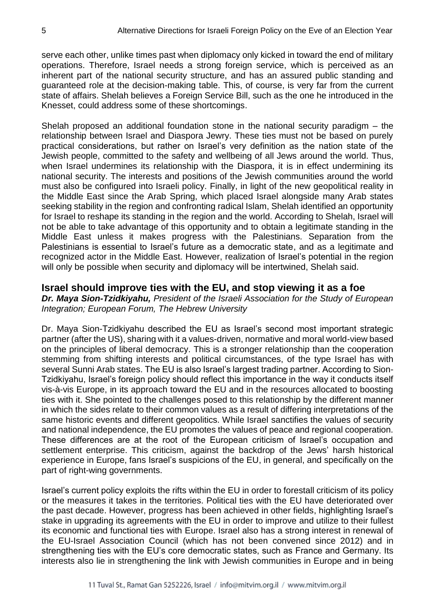serve each other, unlike times past when diplomacy only kicked in toward the end of military operations. Therefore, Israel needs a strong foreign service, which is perceived as an inherent part of the national security structure, and has an assured public standing and guaranteed role at the decision-making table. This, of course, is very far from the current state of affairs. Shelah believes a Foreign Service Bill, such as the one he introduced in the Knesset, could address some of these shortcomings.

Shelah proposed an additional foundation stone in the national security paradigm – the relationship between Israel and Diaspora Jewry. These ties must not be based on purely practical considerations, but rather on Israel's very definition as the nation state of the Jewish people, committed to the safety and wellbeing of all Jews around the world. Thus, when Israel undermines its relationship with the Diaspora, it is in effect undermining its national security. The interests and positions of the Jewish communities around the world must also be configured into Israeli policy. Finally, in light of the new geopolitical reality in the Middle East since the Arab Spring, which placed Israel alongside many Arab states seeking stability in the region and confronting radical Islam, Shelah identified an opportunity for Israel to reshape its standing in the region and the world. According to Shelah, Israel will not be able to take advantage of this opportunity and to obtain a legitimate standing in the Middle East unless it makes progress with the Palestinians. Separation from the Palestinians is essential to Israel's future as a democratic state, and as a legitimate and recognized actor in the Middle East. However, realization of Israel's potential in the region will only be possible when security and diplomacy will be intertwined, Shelah said.

## **Israel should improve ties with the EU, and stop viewing it as a foe**

*Dr. Maya Sion-Tzidkiyahu, President of the Israeli Association for the Study of European Integration; European Forum, The Hebrew University*

Dr. Maya Sion-Tzidkiyahu described the EU as Israel's second most important strategic partner (after the US), sharing with it a values-driven, normative and moral world-view based on the principles of liberal democracy. This is a stronger relationship than the cooperation stemming from shifting interests and political circumstances, of the type Israel has with several Sunni Arab states. The EU is also Israel's largest trading partner. According to Sion-Tzidkiyahu, Israel's foreign policy should reflect this importance in the way it conducts itself vis-à-vis Europe, in its approach toward the EU and in the resources allocated to boosting ties with it. She pointed to the challenges posed to this relationship by the different manner in which the sides relate to their common values as a result of differing interpretations of the same historic events and different geopolitics. While Israel sanctifies the values of security and national independence, the EU promotes the values of peace and regional cooperation. These differences are at the root of the European criticism of Israel's occupation and settlement enterprise. This criticism, against the backdrop of the Jews' harsh historical experience in Europe, fans Israel's suspicions of the EU, in general, and specifically on the part of right-wing governments.

Israel's current policy exploits the rifts within the EU in order to forestall criticism of its policy or the measures it takes in the territories. Political ties with the EU have deteriorated over the past decade. However, progress has been achieved in other fields, highlighting Israel's stake in upgrading its agreements with the EU in order to improve and utilize to their fullest its economic and functional ties with Europe. Israel also has a strong interest in renewal of the EU-Israel Association Council (which has not been convened since 2012) and in strengthening ties with the EU's core democratic states, such as France and Germany. Its interests also lie in strengthening the link with Jewish communities in Europe and in being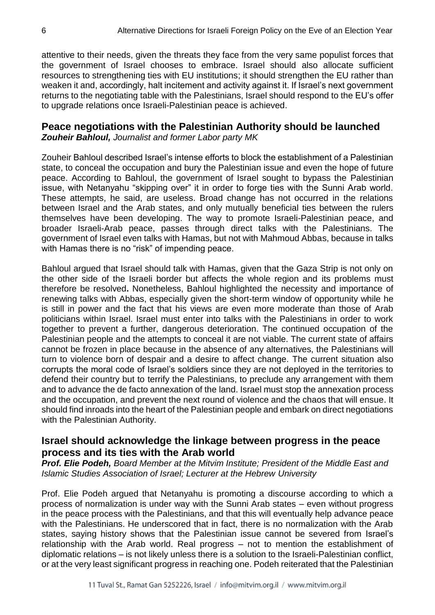attentive to their needs, given the threats they face from the very same populist forces that the government of Israel chooses to embrace. Israel should also allocate sufficient resources to strengthening ties with EU institutions; it should strengthen the EU rather than weaken it and, accordingly, halt incitement and activity against it. If Israel's next government returns to the negotiating table with the Palestinians, Israel should respond to the EU's offer to upgrade relations once Israeli-Palestinian peace is achieved.

# **Peace negotiations with the Palestinian Authority should be launched**

*Zouheir Bahloul, Journalist and former Labor party MK* 

Zouheir Bahloul described Israel's intense efforts to block the establishment of a Palestinian state, to conceal the occupation and bury the Palestinian issue and even the hope of future peace. According to Bahloul, the government of Israel sought to bypass the Palestinian issue, with Netanyahu "skipping over" it in order to forge ties with the Sunni Arab world. These attempts, he said, are useless. Broad change has not occurred in the relations between Israel and the Arab states, and only mutually beneficial ties between the rulers themselves have been developing. The way to promote Israeli-Palestinian peace, and broader Israeli-Arab peace, passes through direct talks with the Palestinians. The government of Israel even talks with Hamas, but not with Mahmoud Abbas, because in talks with Hamas there is no "risk" of impending peace.

Bahloul argued that Israel should talk with Hamas, given that the Gaza Strip is not only on the other side of the Israeli border but affects the whole region and its problems must therefore be resolved**.** Nonetheless, Bahloul highlighted the necessity and importance of renewing talks with Abbas, especially given the short-term window of opportunity while he is still in power and the fact that his views are even more moderate than those of Arab politicians within Israel. Israel must enter into talks with the Palestinians in order to work together to prevent a further, dangerous deterioration. The continued occupation of the Palestinian people and the attempts to conceal it are not viable. The current state of affairs cannot be frozen in place because in the absence of any alternatives, the Palestinians will turn to violence born of despair and a desire to affect change. The current situation also corrupts the moral code of Israel's soldiers since they are not deployed in the territories to defend their country but to terrify the Palestinians, to preclude any arrangement with them and to advance the de facto annexation of the land. Israel must stop the annexation process and the occupation, and prevent the next round of violence and the chaos that will ensue. It should find inroads into the heart of the Palestinian people and embark on direct negotiations with the Palestinian Authority.

## **Israel should acknowledge the linkage between progress in the peace process and its ties with the Arab world**

*Prof. Elie Podeh, Board Member at the Mitvim Institute; President of the Middle East and Islamic Studies Association of Israel; Lecturer at the Hebrew University*

Prof. Elie Podeh argued that Netanyahu is promoting a discourse according to which a process of normalization is under way with the Sunni Arab states – even without progress in the peace process with the Palestinians, and that this will eventually help advance peace with the Palestinians. He underscored that in fact, there is no normalization with the Arab states, saying history shows that the Palestinian issue cannot be severed from Israel's relationship with the Arab world. Real progress – not to mention the establishment of diplomatic relations – is not likely unless there is a solution to the Israeli-Palestinian conflict, or at the very least significant progress in reaching one. Podeh reiterated that the Palestinian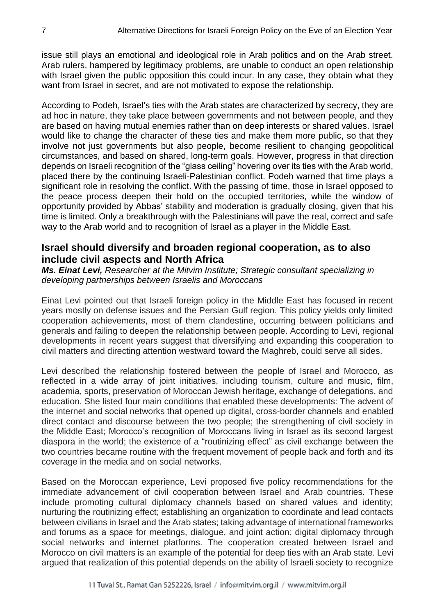issue still plays an emotional and ideological role in Arab politics and on the Arab street. Arab rulers, hampered by legitimacy problems, are unable to conduct an open relationship with Israel given the public opposition this could incur. In any case, they obtain what they want from Israel in secret, and are not motivated to expose the relationship.

According to Podeh, Israel's ties with the Arab states are characterized by secrecy, they are ad hoc in nature, they take place between governments and not between people, and they are based on having mutual enemies rather than on deep interests or shared values. Israel would like to change the character of these ties and make them more public, so that they involve not just governments but also people, become resilient to changing geopolitical circumstances, and based on shared, long-term goals. However, progress in that direction depends on Israeli recognition of the "glass ceiling" hovering over its ties with the Arab world, placed there by the continuing Israeli-Palestinian conflict. Podeh warned that time plays a significant role in resolving the conflict. With the passing of time, those in Israel opposed to the peace process deepen their hold on the occupied territories, while the window of opportunity provided by Abbas' stability and moderation is gradually closing, given that his time is limited. Only a breakthrough with the Palestinians will pave the real, correct and safe way to the Arab world and to recognition of Israel as a player in the Middle East.

## **Israel should diversify and broaden regional cooperation, as to also include civil aspects and North Africa**

*Ms. Einat Levi, Researcher at the Mitvim Institute; Strategic consultant specializing in developing partnerships between Israelis and Moroccans* 

Einat Levi pointed out that Israeli foreign policy in the Middle East has focused in recent years mostly on defense issues and the Persian Gulf region. This policy yields only limited cooperation achievements, most of them clandestine, occurring between politicians and generals and failing to deepen the relationship between people. According to Levi, regional developments in recent years suggest that diversifying and expanding this cooperation to civil matters and directing attention westward toward the Maghreb, could serve all sides.

Levi described the relationship fostered between the people of Israel and Morocco, as reflected in a wide array of joint initiatives, including tourism, culture and music, film, academia, sports, preservation of Moroccan Jewish heritage, exchange of delegations, and education. She listed four main conditions that enabled these developments: The advent of the internet and social networks that opened up digital, cross-border channels and enabled direct contact and discourse between the two people; the strengthening of civil society in the Middle East; Morocco's recognition of Moroccans living in Israel as its second largest diaspora in the world; the existence of a "routinizing effect" as civil exchange between the two countries became routine with the frequent movement of people back and forth and its coverage in the media and on social networks.

Based on the Moroccan experience, Levi proposed five policy recommendations for the immediate advancement of civil cooperation between Israel and Arab countries. These include promoting cultural diplomacy channels based on shared values and identity; nurturing the routinizing effect; establishing an organization to coordinate and lead contacts between civilians in Israel and the Arab states; taking advantage of international frameworks and forums as a space for meetings, dialogue, and joint action; digital diplomacy through social networks and internet platforms. The cooperation created between Israel and Morocco on civil matters is an example of the potential for deep ties with an Arab state. Levi argued that realization of this potential depends on the ability of Israeli society to recognize